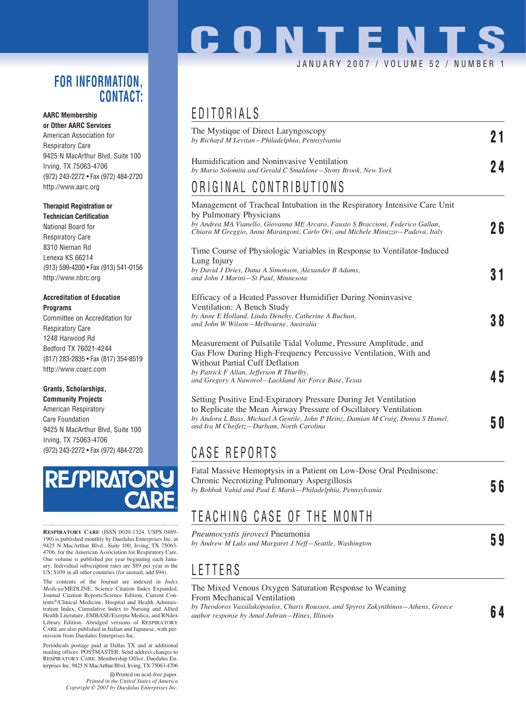### **FOR INFORMATION, CONTACT:**

### **AARC Membership**

**or Other AARC Services** American Association for Respiratory Care 9425 N MacArthur Blvd, Suite 100 Irving, TX 75063-4706 (972) 243-2272 • Fax (972) 484-2720 http://www.aarc.org

#### **Therapist Registration or**

**Technician Certification** National Board for Respiratory Care 8310 Nieman Rd Lenexa KS 66214 (913) 599-4200 • Fax (913) 541-0156 http://www.nbrc.org

### **Accreditation of Education Programs**

Committee on Accreditation for Respiratory Care 1248 Harwood Rd Bedford TX 76021-4244 (817) 283-2835 • Fax (817) 354-8519 http://www.coarc.com

### **Grants, Scholarships,**

**Community Projects** American Respiratory Care Foundation 9425 N MacArthur Blvd, Suite 100 Irving, TX 75063-4706 (972) 243-2272 • Fax (972) 484-2720



**RESPIRATORY CARE** (ISSN 0020-1324, USPS 0489- 190) is published monthly by Daedalus Enterprises Inc, at 9425 N MacArthur Blvd., Suite 100, Irving, TX 75063- 4706, for the American Association for Respiratory Care. One volume is published per year beginning each January. Individual subscription rates are \$89 per year in the US; \$109 in all other countries (for airmail, add \$94).

The contents of the Journal are indexed in *Index Medicus*/MEDLINE, Science Citation Index Expanded, Journal Citation Reports/Science Edition, Current Contents®/Clinical Medicine, Hospital and Health Administration Index, Cumulative Index to Nursing and Allied Health Literature, EMBASE/Exerpta Medica, and RNdex Library Edition. Abridged versions of RESPIRATORY CARE are also published in Italian and Japanese, with permission from Daedalus Enterprises Inc.

Periodicals postage paid at Dallas TX and at additional mailing offices. POSTMASTER: Send address changes to RESPIRATORY CARE, Membership Office, Daedalus Enterprises Inc, 9425 N MacArthur Blvd, Irving, TX 75063-4706

> Printed on acid-free paper. *Printed in the United States of America Copyright © 2007 by Daedalus Enterprises Inc.*

## **CONTENTS** JANUARY 2007 / VOLUME 52 / NUMBER 1

## EDITORIALS

| The Mystique of Direct Laryngoscopy<br>by Richard M Levitan-Philadelphia, Pennsylvania                                                                                                                                                                                                                                        | 21 |
|-------------------------------------------------------------------------------------------------------------------------------------------------------------------------------------------------------------------------------------------------------------------------------------------------------------------------------|----|
| Humidification and Noninvasive Ventilation<br>by Mario Solomita and Gerald C Smaldone-Stony Brook, New York                                                                                                                                                                                                                   | 24 |
| ORIGINAL CONTRIBUTIONS                                                                                                                                                                                                                                                                                                        |    |
| Management of Tracheal Intubation in the Respiratory Intensive Care Unit<br>by Pulmonary Physicians<br>by Andrea MA Vianello, Giovanna ME Arcaro, Fausto S Braccioni, Federico Gallan,<br>Chiara M Greggio, Anna Marangoni, Carlo Ori, and Michele Minuzzo-Padova, Italy                                                      | 26 |
| Time Course of Physiologic Variables in Response to Ventilator-Induced<br>Lung Injury                                                                                                                                                                                                                                         |    |
| by David J Dries, Dana A Simonson, Alexander B Adams,<br>and John J Marini-St Paul, Minnesota                                                                                                                                                                                                                                 | 31 |
| Efficacy of a Heated Passover Humidifier During Noninvasive<br>Ventilation: A Bench Study<br>by Anne E Holland, Linda Denehy, Catherine A Buchan,<br>and John W Wilson-Melbourne, Australia                                                                                                                                   | 38 |
| Measurement of Pulsatile Tidal Volume, Pressure Amplitude, and<br>Gas Flow During High-Frequency Percussive Ventilation, With and<br><b>Without Partial Cuff Deflation</b><br>by Patrick F Allan, Jefferson R Thurlby,                                                                                                        | 45 |
| and Gregory A Naworol-Lackland Air Force Base, Texas<br>Setting Positive End-Expiratory Pressure During Jet Ventilation<br>to Replicate the Mean Airway Pressure of Oscillatory Ventilation<br>by Andora L Bass, Michael A Gentile, John P Heinz, Damian M Craig, Donna S Hamel,<br>and Ira M Cheifetz-Durham, North Carolina | 50 |
| CASE REPORTS                                                                                                                                                                                                                                                                                                                  |    |
| Fatal Massive Hemoptysis in a Patient on Low-Dose Oral Prednisone:<br>Chronic Necrotizing Pulmonary Aspergillosis<br>by Bobbak Vahid and Paul E Marik-Philadelphia, Pennsylvania                                                                                                                                              | 56 |
| TEACHING CASE OF THE MONTH                                                                                                                                                                                                                                                                                                    |    |
| <i>Pneumocystis iiroveci</i> Pneumonia                                                                                                                                                                                                                                                                                        |    |

*by Andrew M Luks and Margaret J Neff—Seattle, Washington* **5 9**

### LETTERS

### The Mixed Venous Oxygen Saturation Response to Weaning

From Mechanical Ventilation

*by Theodoros Vassilakopoulos, Charis Roussos, and Spyros Zakynthinos—Athens, Greece author response by Amal Jubran—Hines, Illinois and Spyros Zakynminos—Amens, Greece* **6 4**